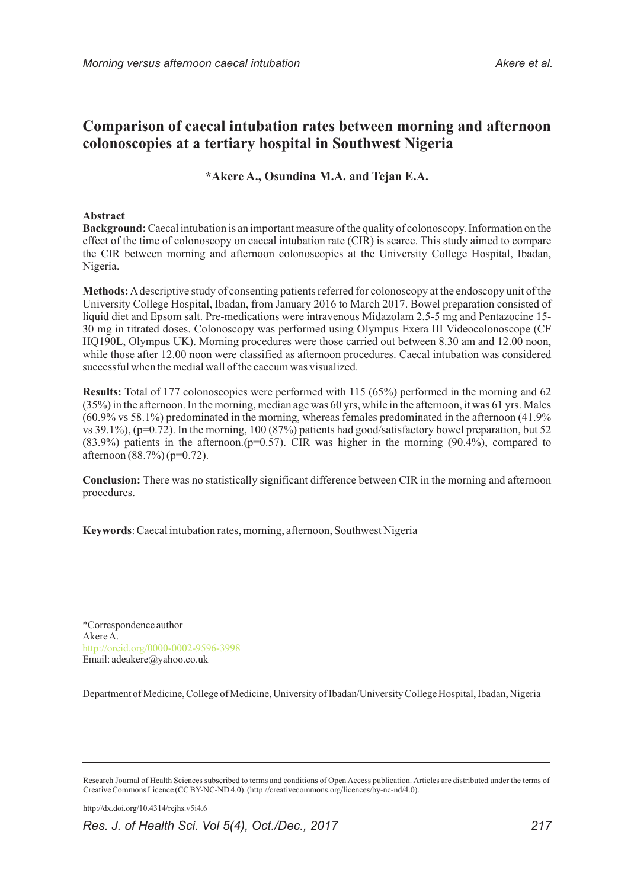# **Comparison of caecal intubation rates between morning and afternoon colonoscopies at a tertiary hospital in Southwest Nigeria**

**\*Akere A., Osundina M.A. and Tejan E.A.**

# **Abstract**

**Background:**Caecal intubation is an important measure of the quality of colonoscopy. Information on the effect of the time of colonoscopy on caecal intubation rate (CIR) is scarce. This study aimed to compare the CIR between morning and afternoon colonoscopies at the University College Hospital, Ibadan, Nigeria.

**Methods:**Adescriptive study of consenting patients referred for colonoscopy at the endoscopy unit of the University College Hospital, Ibadan, from January 2016 to March 2017. Bowel preparation consisted of liquid diet and Epsom salt. Pre-medications were intravenous Midazolam 2.5-5 mg and Pentazocine 15- 30 mg in titrated doses. Colonoscopy was performed using Olympus Exera III Videocolonoscope (CF HQ190L, Olympus UK). Morning procedures were those carried out between 8.30 am and 12.00 noon, while those after 12.00 noon were classified as afternoon procedures. Caecal intubation was considered successful when the medial wall of the caecum was visualized.

**Results:** Total of 177 colonoscopies were performed with 115 (65%) performed in the morning and 62 (35%) in the afternoon. In the morning, median age was 60 yrs, while in the afternoon, it was 61 yrs. Males (60.9% vs 58.1%) predominated in the morning, whereas females predominated in the afternoon (41.9% vs 39.1%), (p=0.72). In the morning, 100 (87%) patients had good/satisfactory bowel preparation, but 52  $(83.9\%)$  patients in the afternoon.( $p=0.57$ ). CIR was higher in the morning  $(90.4\%)$ , compared to afternoon (88.7%) (p=0.72).

**Conclusion:** There was no statistically significant difference between CIR in the morning and afternoon procedures.

**Keywords**: Caecal intubation rates, morning, afternoon, Southwest Nigeria

\*Correspondence author Akere A. Email: adeakere@yahoo.co.uk http://orcid.org/0000-0002-9596-3998

Department of Medicine, College of Medicine, University of Ibadan/University College Hospital, Ibadan, Nigeria

http://dx.doi.org/10.4314/rejhs.v5i4.6

*Res. J. of Health Sci. Vol 5(4), Oct./Dec., 2017 217*

Research Journal of Health Sciences subscribed to terms and conditions of Open Access publication. Articles are distributed under the terms of Creative Commons Licence (CC BY-NC-ND 4.0). (http://creativecommons.org/licences/by-nc-nd/4.0).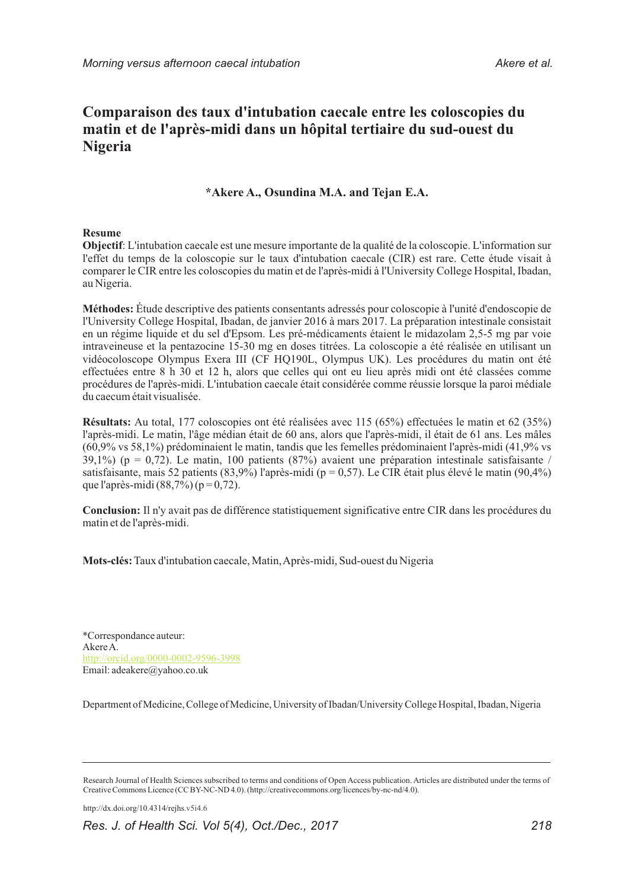# **Comparaison des taux d'intubation caecale entre les coloscopies du matin et de l'après-midi dans un hôpital tertiaire du sud-ouest du Nigeria**

# **\*Akere A., Osundina M.A. and Tejan E.A.**

# **Resume**

**Objectif**: L'intubation caecale est une mesure importante de la qualité de la coloscopie. L'information sur l'effet du temps de la coloscopie sur le taux d'intubation caecale (CIR) est rare. Cette étude visait à comparer le CIR entre les coloscopies du matin et de l'après-midi à l'University College Hospital, Ibadan, au Nigeria.

**Méthodes:** Étude descriptive des patients consentants adressés pour coloscopie à l'unité d'endoscopie de l'University College Hospital, Ibadan, de janvier 2016 à mars 2017. La préparation intestinale consistait en un régime liquide et du sel d'Epsom. Les pré-médicaments étaient le midazolam 2,5-5 mg par voie intraveineuse et la pentazocine 15-30 mg en doses titrées. La coloscopie a été réalisée en utilisant un vidéocoloscope Olympus Exera III (CF HQ190L, Olympus UK). Les procédures du matin ont été effectuées entre 8 h 30 et 12 h, alors que celles qui ont eu lieu après midi ont été classées comme procédures de l'après-midi. L'intubation caecale était considérée comme réussie lorsque la paroi médiale du caecum était visualisée.

**Résultats:** Au total, 177 coloscopies ont été réalisées avec 115 (65%) effectuées le matin et 62 (35%) l'après-midi. Le matin, l'âge médian était de 60 ans, alors que l'après-midi, il était de 61 ans. Les mâles (60,9% vs 58,1%) prédominaient le matin, tandis que les femelles prédominaient l'après-midi (41,9% vs 39,1%) ( $p = 0.72$ ). Le matin, 100 patients (87%) avaient une préparation intestinale satisfaisante / satisfaisante, mais 52 patients (83,9%) l'après-midi ( $p = 0.57$ ). Le CIR était plus élevé le matin (90,4%) que l'après-midi (88,7%) ( $p = 0,72$ ).

**Conclusion:** Il n'y avait pas de différence statistiquement significative entre CIR dans les procédures du matin et de l'après-midi.

**Mots-clés:**Taux d'intubation caecale, Matin, Après-midi, Sud-ouest du Nigeria

\*Correspondance auteur: Akere A. Email: adeakere@yahoo.co.uk http://orcid.org/0000-0002-9596-3998

Department of Medicine, College of Medicine, University of Ibadan/University College Hospital, Ibadan, Nigeria

http://dx.doi.org/10.4314/rejhs.v5i4.6

*Res. J. of Health Sci. Vol 5(4), Oct./Dec., 2017 218*

Research Journal of Health Sciences subscribed to terms and conditions of Open Access publication. Articles are distributed under the terms of Creative Commons Licence (CC BY-NC-ND 4.0). (http://creativecommons.org/licences/by-nc-nd/4.0).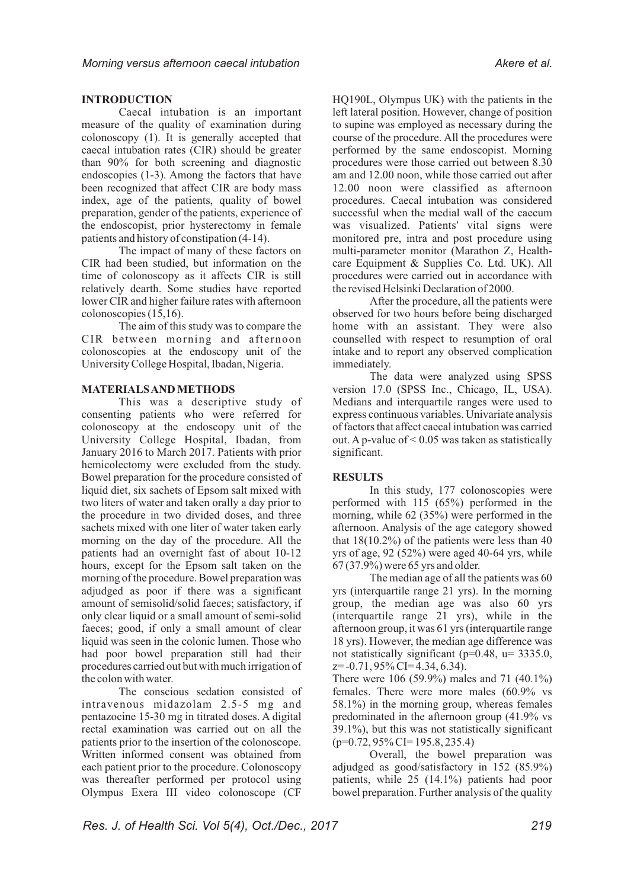# **INTRODUCTION**

Caecal intubation is an important measure of the quality of examination during colonoscopy (1). It is generally accepted that caecal intubation rates (CIR) should be greater than 90% for both screening and diagnostic endoscopies (1-3). Among the factors that have been recognized that affect CIR are body mass index, age of the patients, quality of bowel preparation, gender of the patients, experience of the endoscopist, prior hysterectomy in female patients and history of constipation (4-14).

The impact of many of these factors on CIR had been studied, but information on the time of colonoscopy as it affects CIR is still relatively dearth. Some studies have reported lower CIR and higher failure rates with afternoon colonoscopies (15,16).

The aim of this study was to compare the CIR between morning and afternoon colonoscopies at the endoscopy unit of the University College Hospital, Ibadan, Nigeria.

# **MATERIALS AND METHODS**

This was a descriptive study of consenting patients who were referred for colonoscopy at the endoscopy unit of the University College Hospital, Ibadan, from January 2016 to March 2017. Patients with prior hemicolectomy were excluded from the study. Bowel preparation for the procedure consisted of liquid diet, six sachets of Epsom salt mixed with two liters of water and taken orally a day prior to the procedure in two divided doses, and three sachets mixed with one liter of water taken early morning on the day of the procedure. All the patients had an overnight fast of about 10-12 hours, except for the Epsom salt taken on the morning of the procedure. Bowel preparation was adjudged as poor if there was a significant amount of semisolid/solid faeces; satisfactory, if only clear liquid or a small amount of semi-solid faeces; good, if only a small amount of clear liquid was seen in the colonic lumen. Those who had poor bowel preparation still had their procedures carried out but with much irrigation of the colon with water.

The conscious sedation consisted of intravenous midazolam 2.5-5 mg and pentazocine 15-30 mg in titrated doses. A digital rectal examination was carried out on all the patients prior to the insertion of the colonoscope. Written informed consent was obtained from each patient prior to the procedure. Colonoscopy was thereafter performed per protocol using Olympus Exera III video colonoscope (CF

HQ190L, Olympus UK) with the patients in the left lateral position. However, change of position to supine was employed as necessary during the course of the procedure. All the procedures were performed by the same endoscopist. Morning procedures were those carried out between 8.30 am and 12.00 noon, while those carried out after 12.00 noon were classified as afternoon procedures. Caecal intubation was considered successful when the medial wall of the caecum was visualized. Patients' vital signs were monitored pre, intra and post procedure using multi-parameter monitor (Marathon Z, Healthcare Equipment & Supplies Co. Ltd. UK). All procedures were carried out in accordance with the revised Helsinki Declaration of 2000.

After the procedure, all the patients were observed for two hours before being discharged home with an assistant. They were also counselled with respect to resumption of oral intake and to report any observed complication immediately.

The data were analyzed using SPSS version 17.0 (SPSS Inc., Chicago, IL, USA). Medians and interquartile ranges were used to express continuous variables. Univariate analysis of factors that affect caecal intubation was carried out. A p-value of  $\leq 0.05$  was taken as statistically significant.

# **RESULTS**

In this study, 177 colonoscopies were performed with 115 (65%) performed in the morning, while 62 (35%) were performed in the afternoon. Analysis of the age category showed that  $18(10.2\%)$  of the patients were less than 40 yrs of age, 92 (52%) were aged 40-64 yrs, while 67 (37.9%) were 65 yrs and older.

The median age of all the patients was 60 yrs (interquartile range 21 yrs). In the morning group, the median age was also 60 yrs (interquartile range 21 yrs), while in the afternoon group, it was 61 yrs (interquartile range 18 yrs). However, the median age difference was not statistically significant (p=0.48, u= 3335.0,  $z=-0.71,95\%$  CI=4.34, 6.34).

There were 106 (59.9%) males and 71 (40.1%) females. There were more males (60.9% vs 58.1%) in the morning group, whereas females predominated in the afternoon group (41.9% vs 39.1%), but this was not statistically significant (p=0.72, 95% CI= 195.8, 235.4)

Overall, the bowel preparation was adjudged as good/satisfactory in 152 (85.9%) patients, while 25 (14.1%) patients had poor bowel preparation. Further analysis of the quality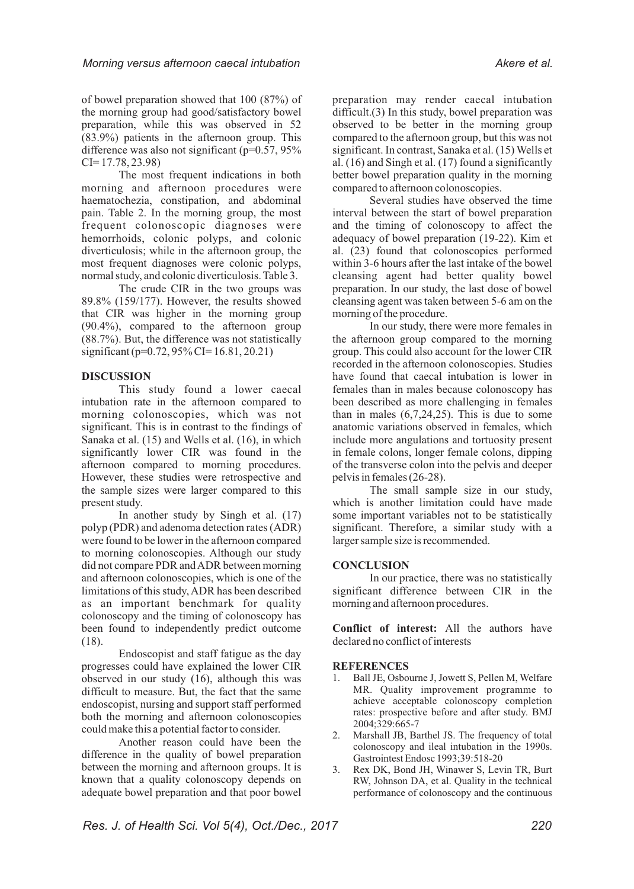of bowel preparation showed that 100 (87%) of the morning group had good/satisfactory bowel preparation, while this was observed in 52 (83.9%) patients in the afternoon group. This difference was also not significant ( $p=0.57$ , 95%) CI= 17.78, 23.98)

The most frequent indications in both morning and afternoon procedures were haematochezia, constipation, and abdominal pain. Table 2. In the morning group, the most frequent colonoscopic diagnoses were hemorrhoids, colonic polyps, and colonic diverticulosis; while in the afternoon group, the most frequent diagnoses were colonic polyps, normal study, and colonic diverticulosis. Table 3.

The crude CIR in the two groups was 89.8% (159/177). However, the results showed that CIR was higher in the morning group (90.4%), compared to the afternoon group (88.7%). But, the difference was not statistically significant (p=0.72, 95% CI= 16.81, 20.21)

## **DISCUSSION**

This study found a lower caecal intubation rate in the afternoon compared to morning colonoscopies, which was not significant. This is in contrast to the findings of Sanaka et al. (15) and Wells et al. (16), in which significantly lower CIR was found in the afternoon compared to morning procedures. However, these studies were retrospective and the sample sizes were larger compared to this present study.

In another study by Singh et al. (17) polyp (PDR) and adenoma detection rates (ADR) were found to be lower in the afternoon compared to morning colonoscopies. Although our study did not compare PDR and ADR between morning and afternoon colonoscopies, which is one of the limitations of this study, ADR has been described as an important benchmark for quality colonoscopy and the timing of colonoscopy has been found to independently predict outcome (18).

Endoscopist and staff fatigue as the day progresses could have explained the lower CIR observed in our study (16), although this was difficult to measure. But, the fact that the same endoscopist, nursing and support staff performed both the morning and afternoon colonoscopies could make this a potential factor to consider.

Another reason could have been the difference in the quality of bowel preparation between the morning and afternoon groups. It is known that a quality colonoscopy depends on adequate bowel preparation and that poor bowel

preparation may render caecal intubation difficult.(3) In this study, bowel preparation was observed to be better in the morning group compared to the afternoon group, but this was not significant. In contrast, Sanaka et al. (15) Wells et al. (16) and Singh et al. (17) found a significantly better bowel preparation quality in the morning compared to afternoon colonoscopies.

Several studies have observed the time interval between the start of bowel preparation and the timing of colonoscopy to affect the adequacy of bowel preparation (19-22). Kim et al. (23) found that colonoscopies performed within 3-6 hours after the last intake of the bowel cleansing agent had better quality bowel preparation. In our study, the last dose of bowel cleansing agent was taken between 5-6 am on the morning of the procedure.

In our study, there were more females in the afternoon group compared to the morning group. This could also account for the lower CIR recorded in the afternoon colonoscopies. Studies have found that caecal intubation is lower in females than in males because colonoscopy has been described as more challenging in females than in males  $(6,7,24,25)$ . This is due to some anatomic variations observed in females, which include more angulations and tortuosity present in female colons, longer female colons, dipping of the transverse colon into the pelvis and deeper pelvis in females (26-28).

The small sample size in our study, which is another limitation could have made some important variables not to be statistically significant. Therefore, a similar study with a larger sample size is recommended.

### **CONCLUSION**

In our practice, there was no statistically significant difference between CIR in the morning and afternoon procedures.

**Conflict of interest:** All the authors have declared no conflict of interests

### **REFERENCES**

- 1. Ball JE, Osbourne J, Jowett S, Pellen M, Welfare MR. Quality improvement programme to achieve acceptable colonoscopy completion rates: prospective before and after study. BMJ 2004;329:665-7
- 2. Marshall JB, Barthel JS. The frequency of total colonoscopy and ileal intubation in the 1990s. Gastrointest Endosc 1993;39:518-20
- 3. Rex DK, Bond JH, Winawer S, Levin TR, Burt RW, Johnson DA, et al. Quality in the technical performance of colonoscopy and the continuous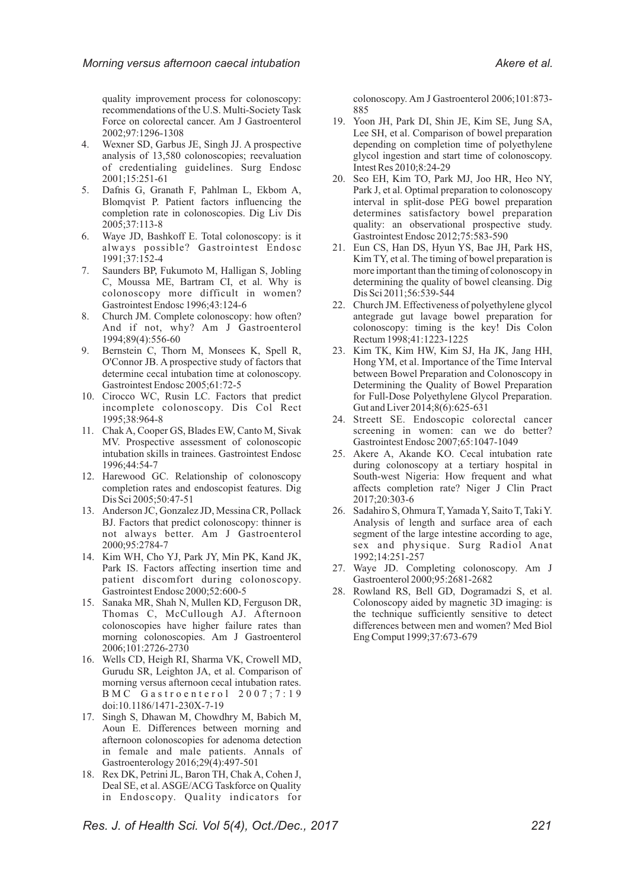quality improvement process for colonoscopy: recommendations of the U.S. Multi-Society Task Force on colorectal cancer. Am J Gastroenterol 2002;97:1296-1308

- 4. Wexner SD, Garbus JE, Singh JJ. A prospective analysis of 13,580 colonoscopies; reevaluation of credentialing guidelines. Surg Endosc 2001;15:251-61
- 5. Dafnis G, Granath F, Pahlman L, Ekbom A, Blomqvist P. Patient factors influencing the completion rate in colonoscopies. Dig Liv Dis 2005;37:113-8
- 6. Waye JD, Bashkoff E. Total colonoscopy: is it always possible? Gastrointest Endosc 1991;37:152-4
- 7. Saunders BP, Fukumoto M, Halligan S, Jobling C, Moussa ME, Bartram CI, et al. Why is colonoscopy more difficult in women? Gastrointest Endosc 1996;43:124-6
- 8. Church JM. Complete colonoscopy: how often? And if not, why? Am J Gastroenterol 1994;89(4):556-60
- 9. Bernstein C, Thorn M, Monsees K, Spell R, O'Connor JB. A prospective study of factors that determine cecal intubation time at colonoscopy. Gastrointest Endosc 2005;61:72-5
- 10. Cirocco WC, Rusin LC. Factors that predict incomplete colonoscopy. Dis Col Rect 1995;38:964-8
- 11. Chak A, Cooper GS, Blades EW, Canto M, Sivak MV. Prospective assessment of colonoscopic intubation skills in trainees. Gastrointest Endosc 1996;44:54-7
- 12. Harewood GC. Relationship of colonoscopy completion rates and endoscopist features. Dig Dis Sci 2005;50:47-51
- 13. Anderson JC, Gonzalez JD, Messina CR, Pollack BJ. Factors that predict colonoscopy: thinner is not always better. Am J Gastroenterol 2000;95:2784-7
- 14. Kim WH, Cho YJ, Park JY, Min PK, Kand JK, Park IS. Factors affecting insertion time and patient discomfort during colonoscopy. Gastrointest Endosc 2000;52:600-5
- 15. Sanaka MR, Shah N, Mullen KD, Ferguson DR, Thomas C, McCullough AJ. Afternoon colonoscopies have higher failure rates than morning colonoscopies. Am J Gastroenterol 2006;101:2726-2730
- 16. Wells CD, Heigh RI, Sharma VK, Crowell MD, Gurudu SR, Leighton JA, et al. Comparison of morning versus afternoon cecal intubation rates. B M C G a s t r o e n t e r o l 2 0 0 7 ; 7 : 1 9 doi:10.1186/1471-230X-7-19
- 17. Singh S, Dhawan M, Chowdhry M, Babich M, Aoun E. Differences between morning and afternoon colonoscopies for adenoma detection in female and male patients. Annals of Gastroenterology 2016;29(4):497-501
- 18. Rex DK, Petrini JL, Baron TH, Chak A, Cohen J, Deal SE, et al. ASGE/ACG Taskforce on Quality in Endoscopy. Quality indicators for

colonoscopy. Am J Gastroenterol 2006;101:873- 885

- 19. Yoon JH, Park DI, Shin JE, Kim SE, Jung SA, Lee SH, et al. Comparison of bowel preparation depending on completion time of polyethylene glycol ingestion and start time of colonoscopy. Intest Res 2010;8:24-29
- 20. Seo EH, Kim TO, Park MJ, Joo HR, Heo NY, Park J, et al. Optimal preparation to colonoscopy interval in split-dose PEG bowel preparation determines satisfactory bowel preparation quality: an observational prospective study. Gastrointest Endosc 2012;75:583-590
- 21. Eun CS, Han DS, Hyun YS, Bae JH, Park HS, Kim TY, et al. The timing of bowel preparation is more important than the timing of colonoscopy in determining the quality of bowel cleansing. Dig Dis Sci 2011;56:539-544
- 22. Church JM. Effectiveness of polyethylene glycol antegrade gut lavage bowel preparation for colonoscopy: timing is the key! Dis Colon Rectum 1998;41:1223-1225
- 23. Kim TK, Kim HW, Kim SJ, Ha JK, Jang HH, Hong YM, et al. Importance of the Time Interval between Bowel Preparation and Colonoscopy in Determining the Quality of Bowel Preparation for Full-Dose Polyethylene Glycol Preparation. Gut and Liver 2014;8(6):625-631
- 24. Streett SE. Endoscopic colorectal cancer screening in women: can we do better? Gastrointest Endosc 2007;65:1047-1049
- 25. Akere A, Akande KO. Cecal intubation rate during colonoscopy at a tertiary hospital in South-west Nigeria: How frequent and what affects completion rate? Niger J Clin Pract 2017;20:303-6
- 26. Sadahiro S, Ohmura T, Yamada Y, Saito T, Taki Y. Analysis of length and surface area of each segment of the large intestine according to age, sex and physique. Surg Radiol Anat 1992;14:251-257
- 27. Waye JD. Completing colonoscopy. Am J Gastroenterol 2000;95:2681-2682
- 28. Rowland RS, Bell GD, Dogramadzi S, et al. Colonoscopy aided by magnetic 3D imaging: is the technique sufficiently sensitive to detect differences between men and women? Med Biol Eng Comput 1999;37:673-679